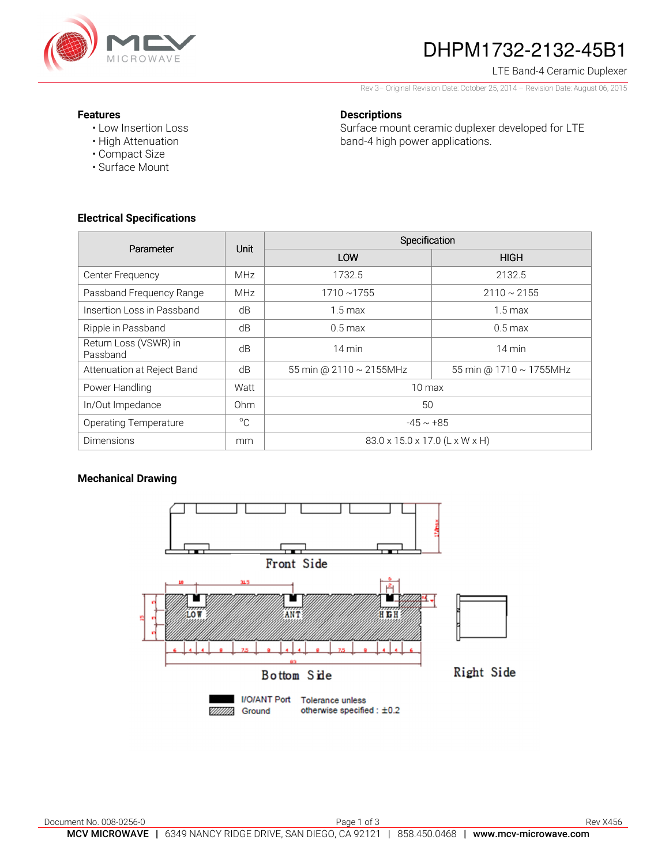

# DHPM1732-2132-45B1

LTE Band-4 Ceramic Duplexer

Rev 3– Original Revision Date: October 25, 2014 – Revision Date: August 06, 2015

### **Features**

• Low Insertion Loss • High Attenuation

## **Descriptions**

Surface mount ceramic duplexer developed for LTE band-4 high power applications.

• Surface Mount

• Compact Size

### **Electrical Specifications**

| Parameter                         | Unit            | Specification                  |                         |
|-----------------------------------|-----------------|--------------------------------|-------------------------|
|                                   |                 | LOW                            | <b>HIGH</b>             |
| Center Frequency                  | <b>MHz</b>      | 1732.5                         | 2132.5                  |
| Passband Frequency Range          | <b>MHz</b>      | $1710 - 1755$                  | $2110 \sim 2155$        |
| Insertion Loss in Passband        | dB              | $1.5 \text{ max}$              | $1.5 \text{ max}$       |
| Ripple in Passband                | dB              | $0.5 \text{ max}$              | $0.5$ max               |
| Return Loss (VSWR) in<br>Passband | dB              | 14 min                         | $14 \text{ min}$        |
| Attenuation at Reject Band        | dB              | 55 min @ 2110 ~ 2155MHz        | 55 min @ 1710 ~ 1755MHz |
| Power Handling                    | Watt            | $10 \text{ max}$               |                         |
| In/Out Impedance                  | 0 <sub>hm</sub> | 50                             |                         |
| <b>Operating Temperature</b>      | $^{\circ}C$     | $-45 \sim +85$                 |                         |
| <b>Dimensions</b>                 | mm              | 83.0 x 15.0 x 17.0 (L x W x H) |                         |

## **Mechanical Drawing**

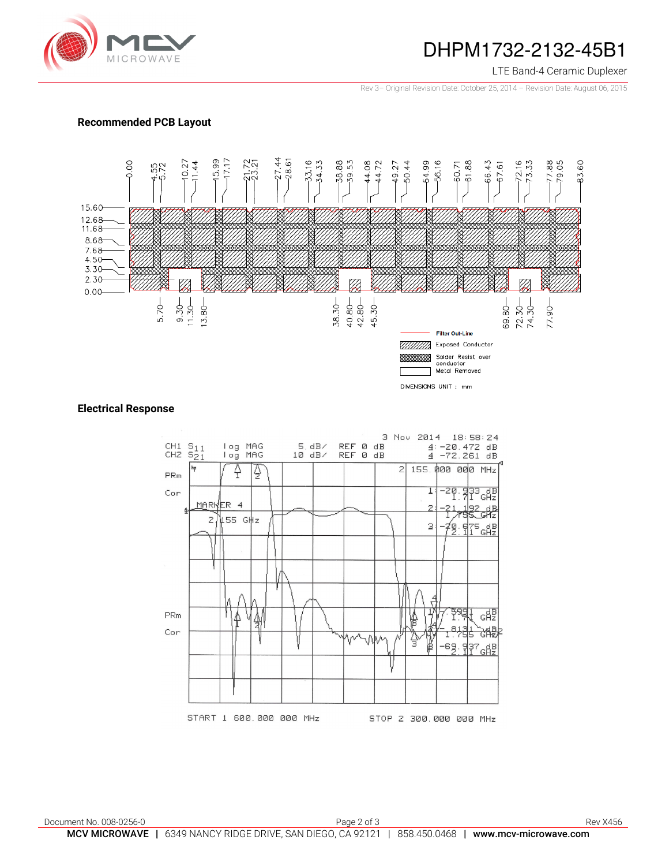

## DHPM1732-2132-45B1

### LTE Band-4 Ceramic Duplexer

Rev 3– Original Revision Date: October 25, 2014 – Revision Date: August 06, 2015

### **Recommended PCB Layout**



### **Electrical Response**